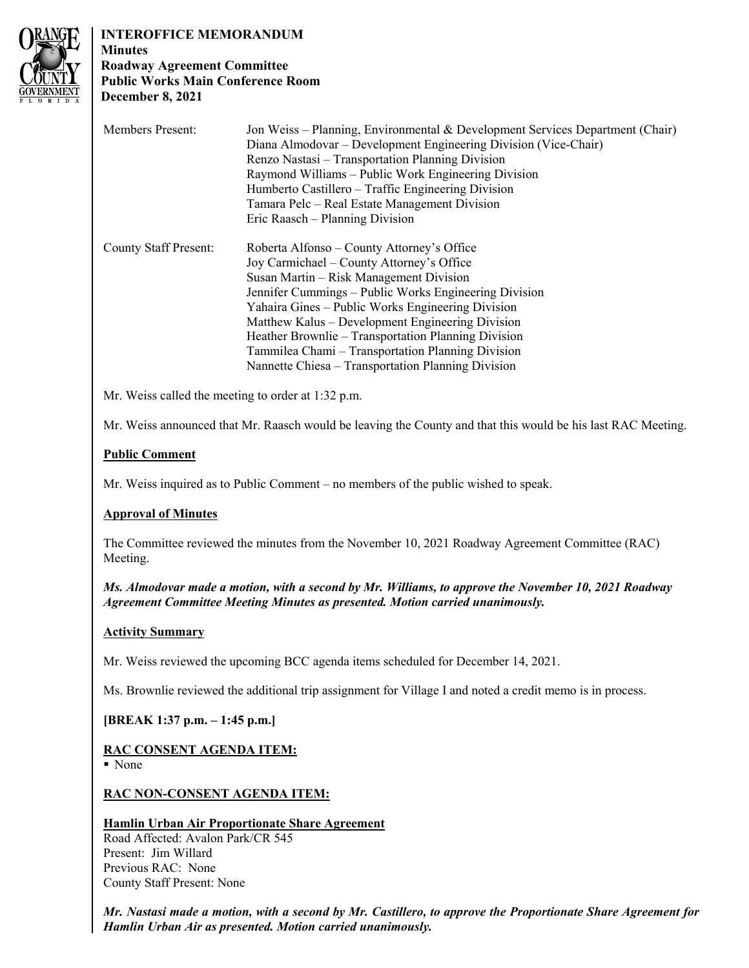

# **INTEROFFICE MEMORANDUM**

**Minutes Roadway Agreement Committee Public Works Main Conference Room December 8, 2021**

| <b>Members Present:</b>      | Jon Weiss – Planning, Environmental & Development Services Department (Chair) |
|------------------------------|-------------------------------------------------------------------------------|
|                              | Diana Almodovar – Development Engineering Division (Vice-Chair)               |
|                              | Renzo Nastasi - Transportation Planning Division                              |
|                              | Raymond Williams – Public Work Engineering Division                           |
|                              | Humberto Castillero – Traffic Engineering Division                            |
|                              | Tamara Pelc – Real Estate Management Division                                 |
|                              | Eric Raasch – Planning Division                                               |
| <b>County Staff Present:</b> | Roberta Alfonso – County Attorney's Office                                    |
|                              | Joy Carmichael – County Attorney's Office                                     |
|                              | Susan Martin – Risk Management Division                                       |
|                              | Jennifer Cummings – Public Works Engineering Division                         |
|                              | Yahaira Gines – Public Works Engineering Division                             |
|                              | Matthew Kalus – Development Engineering Division                              |
|                              | Heather Brownlie – Transportation Planning Division                           |
|                              | Tammilea Chami – Transportation Planning Division                             |
|                              | Nannette Chiesa – Transportation Planning Division                            |

Mr. Weiss called the meeting to order at 1:32 p.m.

Mr. Weiss announced that Mr. Raasch would be leaving the County and that this would be his last RAC Meeting.

## **Public Comment**

Mr. Weiss inquired as to Public Comment – no members of the public wished to speak.

## **Approval of Minutes**

The Committee reviewed the minutes from the November 10, 2021 Roadway Agreement Committee (RAC) Meeting.

*Ms. Almodovar made a motion, with a second by Mr. Williams, to approve the November 10, 2021 Roadway Agreement Committee Meeting Minutes as presented. Motion carried unanimously.* 

#### **Activity Summary**

Mr. Weiss reviewed the upcoming BCC agenda items scheduled for December 14, 2021.

Ms. Brownlie reviewed the additional trip assignment for Village I and noted a credit memo is in process.

## **[BREAK 1:37 p.m. – 1:45 p.m.]**

## **RAC CONSENT AGENDA ITEM:**

■ None

#### **RAC NON-CONSENT AGENDA ITEM:**

## **Hamlin Urban Air Proportionate Share Agreement**

Road Affected: Avalon Park/CR 545 Present: Jim Willard Previous RAC: None County Staff Present: None

*Mr. Nastasi made a motion, with a second by Mr. Castillero, to approve the Proportionate Share Agreement for Hamlin Urban Air as presented. Motion carried unanimously.*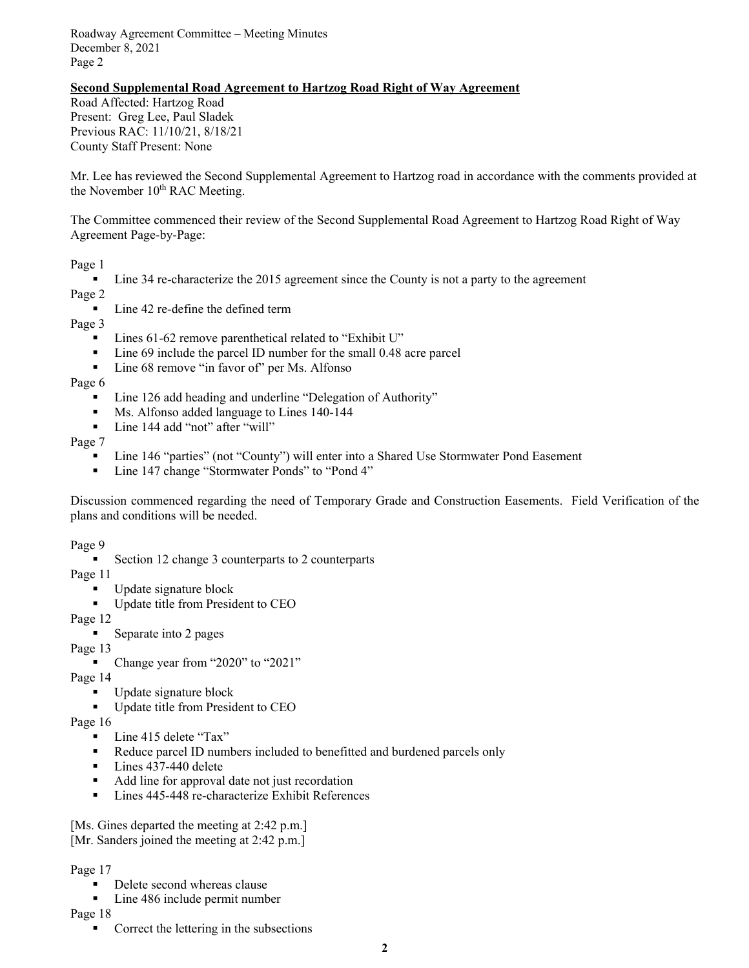Roadway Agreement Committee – Meeting Minutes December 8, 2021 Page 2

# **Second Supplemental Road Agreement to Hartzog Road Right of Way Agreement**

Road Affected: Hartzog Road Present: Greg Lee, Paul Sladek Previous RAC: 11/10/21, 8/18/21 County Staff Present: None

Mr. Lee has reviewed the Second Supplemental Agreement to Hartzog road in accordance with the comments provided at the November  $10<sup>th</sup>$  RAC Meeting.

The Committee commenced their review of the Second Supplemental Road Agreement to Hartzog Road Right of Way Agreement Page-by-Page:

#### Page 1

■ Line 34 re-characterize the 2015 agreement since the County is not a party to the agreement

Page 2

■ Line 42 re-define the defined term

Page 3

- Lines 61-62 remove parenthetical related to "Exhibit U"
- Line 69 include the parcel ID number for the small 0.48 acre parcel
- Line 68 remove "in favor of" per Ms. Alfonso

Page 6

- Line 126 add heading and underline "Delegation of Authority"
- Ms. Alfonso added language to Lines 140-144
- Line 144 add "not" after "will"

Page 7

- Line 146 "parties" (not "County") will enter into a Shared Use Stormwater Pond Easement
- Line 147 change "Stormwater Ponds" to "Pond 4"

Discussion commenced regarding the need of Temporary Grade and Construction Easements. Field Verification of the plans and conditions will be needed.

Page 9

■ Section 12 change 3 counterparts to 2 counterparts

Page 11

- Update signature block
- Update title from President to CEO

Page 12

■ Separate into 2 pages

Page 13

■ Change year from "2020" to "2021"

Page 14

- Update signature block
- Update title from President to CEO

Page 16

- Line 415 delete "Tax"
- Reduce parcel ID numbers included to benefitted and burdened parcels only
- Lines 437-440 delete
- Add line for approval date not just recordation
- Lines 445-448 re-characterize Exhibit References

[Ms. Gines departed the meeting at 2:42 p.m.]

[Mr. Sanders joined the meeting at 2:42 p.m.]

#### Page 17

- Delete second whereas clause
- Line 486 include permit number

Page 18

■ Correct the lettering in the subsections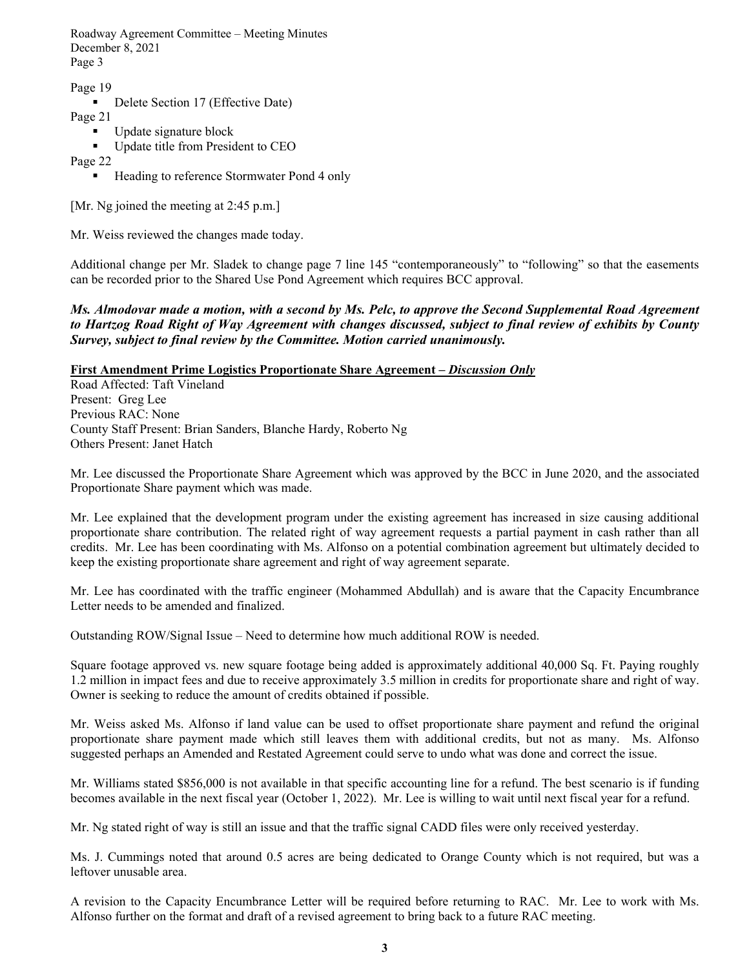Roadway Agreement Committee – Meeting Minutes December 8, 2021 Page 3

Page 19

```
■ Delete Section 17 (Effective Date)
```
Page 21

- Update signature block
- Update title from President to CEO

Page 22

■ Heading to reference Stormwater Pond 4 only

[Mr. Ng joined the meeting at 2:45 p.m.]

Mr. Weiss reviewed the changes made today.

Additional change per Mr. Sladek to change page 7 line 145 "contemporaneously" to "following" so that the easements can be recorded prior to the Shared Use Pond Agreement which requires BCC approval.

## *Ms. Almodovar made a motion, with a second by Ms. Pelc, to approve the Second Supplemental Road Agreement to Hartzog Road Right of Way Agreement with changes discussed, subject to final review of exhibits by County Survey, subject to final review by the Committee. Motion carried unanimously.*

## **First Amendment Prime Logistics Proportionate Share Agreement –** *Discussion Only*

Road Affected: Taft Vineland Present: Greg Lee Previous RAC: None County Staff Present: Brian Sanders, Blanche Hardy, Roberto Ng Others Present: Janet Hatch

Mr. Lee discussed the Proportionate Share Agreement which was approved by the BCC in June 2020, and the associated Proportionate Share payment which was made.

Mr. Lee explained that the development program under the existing agreement has increased in size causing additional proportionate share contribution. The related right of way agreement requests a partial payment in cash rather than all credits. Mr. Lee has been coordinating with Ms. Alfonso on a potential combination agreement but ultimately decided to keep the existing proportionate share agreement and right of way agreement separate.

Mr. Lee has coordinated with the traffic engineer (Mohammed Abdullah) and is aware that the Capacity Encumbrance Letter needs to be amended and finalized.

Outstanding ROW/Signal Issue – Need to determine how much additional ROW is needed.

Square footage approved vs. new square footage being added is approximately additional 40,000 Sq. Ft. Paying roughly 1.2 million in impact fees and due to receive approximately 3.5 million in credits for proportionate share and right of way. Owner is seeking to reduce the amount of credits obtained if possible.

Mr. Weiss asked Ms. Alfonso if land value can be used to offset proportionate share payment and refund the original proportionate share payment made which still leaves them with additional credits, but not as many. Ms. Alfonso suggested perhaps an Amended and Restated Agreement could serve to undo what was done and correct the issue.

Mr. Williams stated \$856,000 is not available in that specific accounting line for a refund. The best scenario is if funding becomes available in the next fiscal year (October 1, 2022). Mr. Lee is willing to wait until next fiscal year for a refund.

Mr. Ng stated right of way is still an issue and that the traffic signal CADD files were only received yesterday.

Ms. J. Cummings noted that around 0.5 acres are being dedicated to Orange County which is not required, but was a leftover unusable area.

A revision to the Capacity Encumbrance Letter will be required before returning to RAC. Mr. Lee to work with Ms. Alfonso further on the format and draft of a revised agreement to bring back to a future RAC meeting.